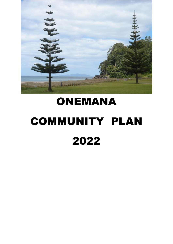

# ONEMANA COMMUNITY PLAN 2022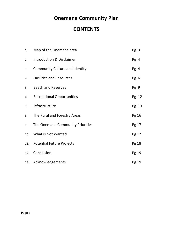# **Onemana Community Plan**

# **CONTENTS**

| 1.  | Map of the Onemana area               | Pg 3  |
|-----|---------------------------------------|-------|
| 2.  | <b>Introduction &amp; Disclaimer</b>  | Pg 4  |
| 3.  | <b>Community Culture and Identity</b> | Pg 4  |
| 4.  | <b>Facilities and Resources</b>       | Pg 6  |
| 5.  | <b>Beach and Reserves</b>             | Pg 9  |
| 6.  | <b>Recreational Opportunities</b>     | Pg 12 |
| 7.  | Infrastructure                        | Pg 13 |
| 8.  | The Rural and Forestry Areas          | Pg 16 |
| 9.  | The Onemana Community Priorities      | Pg 17 |
| 10. | What is Not Wanted                    | Pg 17 |
| 11. | <b>Potential Future Projects</b>      | Pg 18 |
| 12. | Conclusion                            | Pg 19 |
| 13. | Acknowledgements                      | Pg 19 |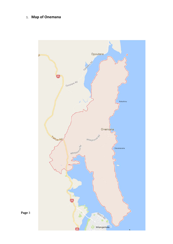# 1. **Map of Onemana**



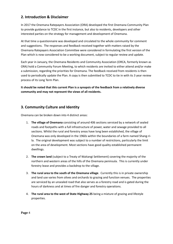# **2. Introduction & Disclaimer**

In 2017 the Onemana Ratepayers Association (ORA) developed the first Onemana Community Plan to provide guidance to TCDC in the first instance, but also to residents, developers and other interested parties on the strategy for management and development of Onemana.

At that time a questionnaire was developed and circulated to the whole community for comment and suggestions. The responses and feedback received together with matters raised by the Onemana Ratepayers Association Committee were considered in formulating the first version of the Plan which is now considered to be a working document, subject to regular review and update.

Each year in January, the Onemana Residents and Community Association (ORCA, formerly known as ORA) hold a Community Forum Meeting, to which residents are invited to either attend and/or make a submission, regarding the priorities for Onemana. The feedback received from residents is then used to periodically update the Plan. A copy is then submitted to TCDC to tie in with its 3 year review process of its Long Term Plan.

**It should be noted that this current Plan is a synopsis of the feedback from a relatively diverse community and may not represent the views of all residents.** 

# **3. Community Culture and Identity**

Onemana can be broken down into 4 distinct areas:

- 1. **The village of Onemana** consisting of around 406 sections serviced by a network of sealed roads and footpaths with a full infrastructure of power, water and sewage provided to all sections. Whilst the rural and forestry areas have long been established, the village of Onemana was only developed in the 1960s within the boundaries of a farm named Shang-rila. The original development was subject to a number of restrictions, particularly the limit on the area of development. Most sections have good quality established permanent dwellings.
- 2. **The crown land** (subject to a Treaty of Waitangi Settlement) covering the majority of the northern and western areas of the hills of the Onemana peninsula. This is currently under forestry lease and provides a backdrop to the village.
- 3. **The rural area to the south of the Onemana village**. Currently this is in private ownership and land use varies from olives and orchards to grazing and function venues. The properties are serviced by an unsealed road that also serves as a forestry road and is gated during the hours of darkness and at times of fire danger and forestry operations.
- 4. **The rural area to the west of State Highway 25** being a mixture of grazing and lifestyle properties.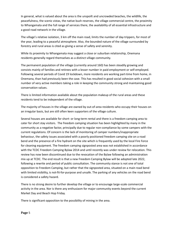In general, what is valued about the area is the unspoilt and uncrowded beaches, the wildlife, the peacefulness, the scenic vistas, the native bush reserves, the village commercial centre, the proximity to Whangamata and the full range of services there, the availability of all essential infrastructure and a good road network in the village.

The village's relative isolation, 3 km off the main road, limits the number of day-trippers, for most of the year, leading to a peaceful atmosphere. Also, the bounded nature of the village surrounded by forestry and rural areas is cited as giving a sense of safety and serenity.

While its proximity to Whangamata may suggest a close or suburban relationship, Onemana residents generally regard themselves as a distinct village community.

The permanent population of the village (currently around 160) has been steadily growing and consists mainly of families and retirees with a lesser number in paid employment or self-employed. Following several periods of Covid 19 lockdown, more residents are working part-time from home, in Onemana, than had previously been the case. This has resulted in good social cohesion with a small number of very active members taking a role in keeping the community strong and maintaining good conservation values.

There is limited information available about the population makeup of the rural areas and these residents tend to be independent of the village.

The majority of houses in the village are owned by out-of-area residents who occupy their houses on an irregular basis, but are still often keen supporters of the village culture.

Several houses are available for short- or long-term rental and there is a freedom camping area to cater for short stay visitors. The freedom camping situation has been highlighted by many in the community as a negative factor, principally due to regular non-compliance by some campers with the current regulations. Of concern is the lack of monitoring of camper numbers/inappropriate behaviour, the safety issues associated with a poorly positioned freedom camping site on a road bend and the presence of a fire hydrant on the site which is frequently used by the local Fire Force for cleaning equipment. The freedom camping signposted area was not established in accordance with the TCDC Freedom Camping Bylaw 2014 and until recently was under review for relocation. This review has now been discontinued due to the revocation of the Bylaw following an administration mix up at TCDC. The end result is that a new Freedom Camping Bylaw will be adopted late 2022, following a rewrite and period of public consultation. The community stance is not one of total opposition to Freedom Camping, but rather that the signposted area, situated on a main road bend with limited visibility, is not-fit-for-purpose and unsafe. The parking of any vehicles on the road bend is considered a safety hazard.

There is no strong desire to further develop the village or to encourage large-scale commercial activity in the area. Nor is there any enthusiasm for major community events beyond the current Market Day and Beach Hop Friday.

There is significant opposition to the possibility of mining in the area.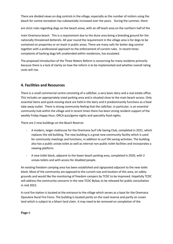There are divided views on dog controls in the village, especially as the number of visitors using the beach for canine recreation has substantially increased over the years. During the summer, there

are strict rules regarding dogs on the beach areas, with an off-leash area on the northern half of the

main Onemana beach. This is a requirement due to the dune area being a breeding ground for the nationally threatened dotterels. All year round the requirement in the village area is for dogs to be contained on properties or on leash in public areas. There are many calls for better dog control together with a professional approach to the enforcement of current rules. In recent times complaints of barking dogs left unattended within residences, has escalated.

The proposed introduction of the Three Waters Reform is concerning for many residents primarily because there is a lack of clarity on how the reform is to be implemented and whether overall rating costs will rise.

# **4. Facilities and Resources**

There is a small commercial centre consisting of a café/bar, a very basic dairy and a real estate office. This includes an appropriately-sized parking area and is situated close to the main beach access. Only essential items and quick-moving stock are held in the dairy and it predominantly functions as a food take-away outlet. There is strong community feeling that the café/bar, in particular, is an essential community hub within the village and in recent times there has been strong resident support of the weekly Friday Happy Hour, ORCA quiz/game nights and speciality food nights.

There are 2 new buildings on the Beach Reserve:

- A modern, larger clubhouse for the Onemana Surf Life Saving Club, completed in 2021, which replaces the old building. The new building is a great new community facility which is used for community meetings and functions, in addition to surf life saving activities. The building also has a public unisex toilet as well as internal non-public toilet facilities and incorporates a viewing platform.
- A new toilet block, adjacent to the lower beach parking area, completed in 2020, with 2 unisex toilets and with access for disabled people.

An existing freedom camping area has been established and signposted adjacent to the new toilet block. Most of the community are opposed to the current size and location of this area, on safety grounds and would like the monitoring of freedom campers by TCDC to be improved. Hopefully TCDC will address the community concerns in the new TCDC Bylaw, to be released for public consultation in mid 2022.

A rural fire station is located at the entrance to the village which serves as a base for the Onemana Opoutere Rural Fire Force. The building is located partly on the road reserve and partly on crown land which is subject to a Maori land claim. It may need to be removed on completion of the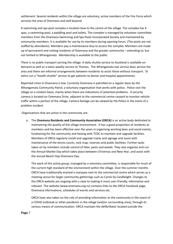settlement. Several residents within the village are voluntary, active members of the Fire Force which services the area of Onemana and well beyond.

A swimming and spa pool complex is located close to the centre of the village. The complex has 4 spas, a swimming pool, a paddling pool and toilets. The complex is managed by volunteer committee members from the Onemana Swimming and Spa Pools Incorporated Society and maintained by community members. It is available for use by its members during opening hours. (The pools are not staffed by attendants). Members pay a maintenance levy to access the complex. Members are made up of permanent and visiting residents of Onemana and the greater community – extending to, but not limited to Whangamata. Membership is available to the public.

There is no public transport serving the village. A daily shuttle service to Auckland is available on demand as well as a twice weekly service to Thames. The Whangamata taxi service does service the area and there are informal arrangements between residents to assist those without transport. St Johns run a "health shuttle" service to get patients to doctor and hospital appointments.

Reported crime in Onemana is low. Currently Onemana is patrolled on a regular basis by the Whangamata Community Patrol, a voluntary organisation that works with police. Police visit the village on a random basis, mainly when there are indications of potential problems. A security camera is located on Onemana Drive, adjacent to the commercial centre carpark to monitor vehicle traffic within a portion of the village. Camera footage can be viewed by the Police in the event of a problem incident.

Organisations that are active in the community are:

a. The **Onemana Residents and Community Association (ORCA)** is an active body dedicated to maintaining the quality of the village environment. It has a good proportion of residents as members and has been effective over the years in organising working bees and social events, fundraising for the community and liaising with TCDC to maintain and upgrade facilities. Members of ORCA regularly install and upgrade tracks and signage and assist with maintenance of the tennis courts, rock map, reserves and public facilities. Further tasks taken on by members include control of litter, pests and weeds. They also organise and run the Annual Market Day which takes place between Christmas and New Year, and assist with the annual Beach Hop Onemana Day.

The work of this active group, managed by a voluntary committee, is responsible for much of the current high standard of the environment within the village. Over the summer months ORCA have traditionally erected a marquee next to the commercial centre which serves as a meeting venue for larger community gatherings such as Carols by Candlelight. Changes to the ORCA website are ongoing with a view to making it more user-friendly, informative and relevant. The website (www.onemana.org.nz) contains links to the ORCA Facebook page, Onemana informations, schedules of events and services etc.

ORCA have also taken on the role of providing information to the community in the event of a COVID outbreak or other pandemic in the village (and/or surrounding area), through its various means of communication. ORCA maintain the defibrillator located outside the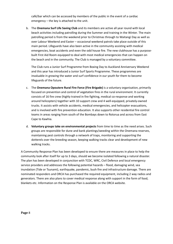café/bar which can be accessed by members of the public in the event of a cardiac emergency – the key is attached to the unit.

b. The **Onemana Surf Life Saving Club** and its members are active all year round with local beach activities including patrolling during the Summer and training in the Winter. The main patrolling period is from the weekend prior to Christmas through to Waitangi Day as well as over Labour Weekend and Easter – occasional weekend patrols take place outside of this main period. Lifeguards have also been active in the community assisting with medical emergencies, boat accidents and even the odd house fire. The new clubhouse has a purposebuilt First Aid Room equipped to deal with most medical emergencies that can happen on the beach and in the community. The Club is managed by a voluntary committee.

The Club runs a Junior Surf Programme from Boxing Day to Auckland Anniversary Weekend and this year has introduced a Junior Surf Sports Programme. These programmes are invaluable in growing the water and surf confidence in our youth for them to become lifeguards of the future.

- c. The **Onemana Opoutere Rural Fire Force (Fire Brigade)** is a voluntary organisation, primarily focused on prevention and control of vegetation fires in the rural environment. It currently consists of 16 fire crew (highly trained in fire fighting, medical co-response and working around helicopters) together with 10 support crew and 4 well-equipped, privately-owned trucks. It assists with vehicle accidents, medical emergencies, and helicopter evacuations, and is involved with fire prevention education. It also supports other residential fire control teams in areas ranging from south of the Bombays down to Rotorua and across from East Cape to Kawhia.
- d. **Voluntary groups take on environmental projects** from time to time as the need arises. Such groups are responsible for dune and bank plantings/weeding within the Onemana reserves, maintaining pest controls through a network of traps, monitoring and supporting the dotterels over the breeding season, keeping walking tracks clear and development of new walking tracks.

A Community Response Plan has been developed to ensure there are measures in place to help the community look after itself for up to 3 days, should we become isolated following a natural disaster. The plan has been developed in conjunction with TCDC, WRC, Civil Defence and local emergency service providers and addresses the following potential hazards – flood, damaging wind, sea inundation (Tide or Tsunami), earthquake, pandemic, bush fire and infrastructure damage. There are nominated responders and ORCA has purchased the required equipment, including 2 way radios and generators. There are also plans to cover medical response along with support in the form of food, blankets etc. Information on the Response Plan is available on the ORCA website.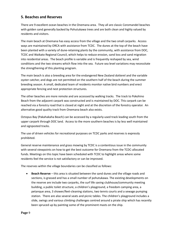## **5. Beaches and Reserves**

There are 9 excellent ocean beaches in the Onemana area. They all are classic Coromandel beaches with golden sand generally backed by Pohutukawa trees and are both clean and highly valued by residents and visitors.

The main beach at Onemana has easy access from the village and the two small carparks. Access ways are maintained by ORCA with assistance from TCDC. The dunes at the top of the beach have been planted with a variety of dune-retaining plants by the community, with assistance from DOC, TCDC and Waikato Regional Council, which helps to reduce erosion, sand loss and sand migration into residential areas. The beach profile is variable and is frequently reshaped by sea, wind conditions and the two streams which flow into the sea. Future sea level variations may necessitate the strengthening of this planting program.

The main beach is also a breeding area for the endangered New Zealand dotterel and the variable oyster catcher, and dogs are not permitted on the southern half of the beach during the summer breeding season. A small, dedicated team of residents monitor native bird numbers and erect appropriate fencing and nest protection structures.

The other beaches are more remote and are accessed by walking tracks. The track to Pokohino Beach from the adjacent carpark was constructed and is maintained by DOC. This carpark can be reached via a forestry road that is closed at night and at the discretion of the forestry operator. An alternative good quality track from Onemana beach also exists.

Octopus Bay (Pakahakaha Beach) can be accessed by a regularly-used track leading south from the upper carpark through DOC land. Access to the more southern beaches is by less well maintained and signposted tracks.

The use of driven vehicles for recreational purposes on TCDC parks and reserves is expressly prohibited.

General reserve maintenance and grass mowing by TCDC is a contentious issue in the community with several viewpoints on how to get the best outcome for Onemana from the TCDC-allocated funds. Meetings on this topic have been scheduled with TCDC to highlight areas where some residents feel the service is not satisfactory or can be improved.

The reserves within the village boundaries can be classified as follows:

 **Beach Reserve** – this area is situated between the sand dunes and the village roads and sections, is grassed and has a small number of pohutukawa. The existing developments on the reserve are include two carparks, the surf life saving clubhouse/community meeting building, a public toilet structure, a children's playground, a freedom camping area, a petanque area, 3 shower/feet-cleaning stations, two tennis courts and a sewage pumping station. There are also several seats and picnic tables. The children's playground includes a slide, swings and various climbing challenges centred around a pirate ship which has recently been spruced up by painting some of the prominent masts on the ship.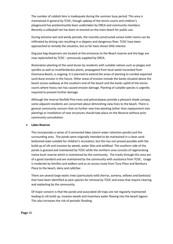The number of rubbish bins is inadequate during the summer busy period. This area is maintained in general by TCDC, though upkeep of the tennis courts and children's playground has predominantly been undertaken by ORCA and community members. Recently a volleyball net has been re-erected on the main beach for public use.

During extreme wet and windy periods, the recently-constructed unisex toilet rooms can be infiltrated by driving rain resulting in a slippery and dangerous floor. TCDC have been approached to remedy the situation, but so far have shown little interest.

Dog poo bag dispensers are located at the entrances to the Beach reserve and the bags are now replenished by TCDC – previously supplied by ORCA.

Restoration planting of the sand dunes by residents with suitable natives such as pingao and spinifex as well as muehlenbeckia plants, propagated from local seeds harvested from Onemana Beach, is ongoing. It is planned to extend the areas of planting to combat expected sand dune erosion in the future. Other areas of erosion include the banks situated above the beach access walkway at the southern end of the beach and the banks uphill of the tennis courts where heavy rain has caused erosion damage. Planting of suitable species is urgently required to prevent further damage.

Although the reserve Norfolk Pine trees and pohutukawas provide a pleasant shade canopy, some adjacent residents are concerned about diminishing view lines to the beach. There is general community concern that no further new tree planting (other than replacement tree planting) or installation of new structures should take place on the Reserve without prior community consultation.

#### **Lakes Reserve**

This incorporates a series of 3 connected lakes (storm water retention ponds) and the surrounding area. The ponds were originally intended to be maintained in a clean sand bottomed state suitable for children's recreation, but this has not proved possible with the build-up of silt and invasion by weeds, water lilies and wildfowl. The southern side of the ponds is grassed and maintained by TCDC while the northern area consists of regenerating native bush reserve which is maintained by the community. The tracks through this area are of a good standard and are maintained by the community with assistance from TCDC. Usage is moderate by families and walkers and as an access route from Tuna Place and Bambury Place to the beach, dairy and café/bar.

There are several large exotic trees (particularly wild cherrys, acmena, willows and banksias) that have been identified as pest species for removal by TCDC and areas that require clearing and replanting by the community.

Of major concern is that the ponds and associated silt traps are not regularly maintained leading to silt build up, invasive weeds and insanitary water flowing into the beach lagoon. This also increases the risk of periodic flooding.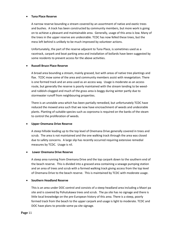#### **Tuna Place Reserve**

A narrow reserve bounding a stream covered by an assortment of native and exotic trees and bushes. A track has been constructed by community members, but more work is going on to achieve a pleasant and maintainable area. Generally, usage of this area is low. Many of the trees in the upper reserve are undesirable. TCDC has now felled these trees, but the mess left behind is unlikely to be much improved by volunteer actions.

Unfortunately, the part of the reserve adjacent to Tuna Place, is sometimes used as a racetrack, carpark and boat parking area and installation of bollards have been suggested by some residents to prevent access for the above activities.

#### **Russell Bruce Place Reserve**

A broad area bounding a stream, mainly grassed, but with areas of native tree plantings and flax. TCDC mow some of the area and community members assist with revegetation. There is one formed track and an area used as an access way. Usage is moderate as an access route, but generally the reserve is poorly maintained with the stream tending to be weedand rubbish-clogged and much of the grass area is boggy during winter partly due to stormwater runoff from neighbouring properties.

There is an unstable area which has been partially remedied, but unfortunately TCDC have reduced the mowed area such that we now have encroachment of weeds and undesirable plants. Planting of suitable species such as coprosma is required on the banks of the steam to control the proliferation of weeds.

#### **Upper Onemana Drive Reserve**

A steep hillside leading up to the top level of Onemana Drive generally covered in trees and scrub. The area is not maintained and the one walking track through the area was closed due to safety concerns. A large slip has recently occurred requiring extensive remedial measures by TCDC. Usage is nil.

#### **Lower Onemana Drive Reserve**

A steep area running from Onemana Drive and the top carpark down to the southern end of the beach reserve. This is divided into a grassed area containing a sewage pumping station and an area of trees and scrub with a formed walking track giving access from the top level of Onemana Drive to the beach reserve. This is maintained by TCDC with moderate usage.

#### **Southern Headland Reserve**

This is an area under DOC control and consists of a steep headland area including a Maori pa site and is covered by Pohutukawa trees and scrub. The pa site has no signage and there is little local knowledge on the pre-European history of this area. There is a steep, poorly formed track from the beach to the upper carpark and usage is light to moderate. TCDC and DOC have plans to provide some pa site signage.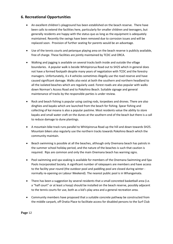# **6. Recreational Opportunities**

- An excellent children's playground has been established on the beach reserve. There have been calls to extend the facilities here, particularly for smaller children and teenagers, but generally residents are happy with the status quo as long as the equipment is adequately maintained. Recently the swings have been removed due to corrosion issues and will be replaced soon. Provision of further seating for parents would be an advantage.
- Use of the tennis courts and petanque playing area on the beach reserve is publicly available, free of charge. These facilities are jointly maintained by TCDC and ORCA.
- Walking and jogging is available on several tracks both inside and outside the village boundaries. A popular walk is beside Whitipirorua Road out to SH25 which in general does not have a formed footpath despite many years of negotiation with TCDC and the forestry managers. Unfortunately, 4 x 4 vehicles sometimes illegally use the road reserve and have caused significant damage. Walks also exist at both the southern and northern headland to all the isolated beaches which are regularly used. Forest roads are also popular with walks down Norman's Access Road and to Pokohino Beach. Suitable signage and general maintenance of tracks by the responsible parties is under review.
- Rock and beach fishing is popular using casting rods, torpedoes and drones. There are also dinghies and kayaks which are launched from the beach for fishing. Spear fishing and collecting of kai moana is also a popular pastime. Most residents value the ability to store kayaks and small water craft on the dunes at the southern end of the beach but there is a call to reduce damage to dune plantings.
- A mountain bike track runs parallel to Whitipirorua Road up the hill and down towards SH25. Mountain bikers also regularly use the northern tracks towards Pokohino Beach which the community maintain.
- Beach swimming is possible at all the beaches, although only Onemana beach has patrols in the summer school holiday period, and the nature of the beaches is such that caution is required. Rips are common and only the main Onemana beach has warning signs.
- Pool swimming and spa soaking is available for members of the Onemana Swimming and Spa Pools Incorporated Society. A significant number of ratepayers are members and have access to the facility year-round (the outdoor pool and paddling pool are closed during winter normally re-opening on Labour Weekend). The nearest public pool is in Whangamata.
- There has been a suggestion by several residents that a small concreted basketball area (i.e. a "half court" or at least a hoop) should be installed on the beach reserve, possibly adjacent to the tennis courts for use, both as a kid's play area and a general recreation area.
- Community members have proposed that a suitable concrete pathway be constructed from the middle carpark, off Oratia Place to facilitate access for disabled persons to the Surf Club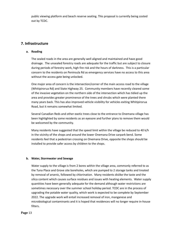public viewing platform and beach reserve seating. This proposal is currently being costed out by TCDC.

### **7. Infrastructure**

#### **a. Roading**

The sealed roads in the area are generally well aligned and maintained and have good drainage. The unsealed forestry roads are adequate for the traffic but are subject to closure during periods of forestry work, high fire risk and the hours of darkness. This is a particular concern to the residents on Peninsula Rd as emergency services have no access to this area without the access gate being unlocked.

One major area of concern is the intersection/corner of the main access road to the village (Whitipirorua Rd) and State Highway 25. Community members have recently cleared some of the invasive vegetation on the northern side of the intersection which has tidied up the area and provides greater prominence of the trees and shrubs which were planted there many years back. This has also improved vehicle visibility for vehicles exiting Whitipirorua Road, but it remains somewhat limited.

Several Canadian Reds and other exotic trees close to the entrance to Onemana village has been highlighted by some residents as an eyesore and further plans to remove them would be welcomed by the community.

Many residents have suggested that the speed limit within the village be reduced to 40 k/h in the vicinity of the shops and around the lower Onemana Drive carpark bend. Some residents feel that a pedestrian crossing on Onemana Drive, opposite the shops should be installed to provide safer access by children to the shops.

#### **b. Water, Stormwater and Sewage**

Water supply to the village is from 2 bores within the village area, commonly referred to as the Tuna Place and Grove site boreholes, which are pumped to 2 storage tanks and treated by removal of arsenic, followed by chlorination. Many residents dislike the taste and the silica content which causes surface residues and issues with heating elements. Water supply quantities have been generally adequate for the demand although water restrictions are sometimes necessary over the summer school holiday period. TCDC are in the process of upgrading the potable water quality, which work is expected to be complete by September 2022. The upgrade work will entail increased removal of iron, manganese and microbiological contaminants and it is hoped that residences will no longer require in-house filters.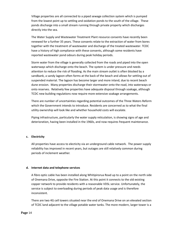Village properties are all connected to a piped sewage collection system which is pumped from the lowest point up to settling and oxidation ponds to the south of the village. These ponds discharge into a small stream running through private property which discharges directly into the sea.

The Water Supply and Wastewater Treatment Plant resource consents have recently been renewed for a further 35 years. These consents relate to the extraction of water from bores together with the treatment of wastewater and discharge of the treated wastewater. TCDC have a history of high compliance with these consents, although some residents have reported wastewater pond odours during peak holiday periods.

Storm water from the village is generally collected from the roads and piped into the open waterways which discharge onto the beach. The system is under pressure and needs attention to reduce the risk of flooding. As the main stream outlet is often blocked by a sandbank, a sandy lagoon often forms at the back of the beach and allows for settling out of suspended material. The lagoon has become larger and more inland, due to recent beach dune erosion. Many properties discharge their stormwater onto the road, into waterways or onto reserves. Relatively few properties have adequate disposal through soakage, although TCDC new building regulations now require more extensive soakage arrangements.

There are number of uncertainties regarding potential outcomes of the Three Waters Reform which the Government intends to introduce. Residents are concerned as to what the final utility ownership will look like and whether household costs will escalate.

Piping infrastructure, particularly the water supply reticulation, is showing signs of age and deterioration, having been installed in the 1960s, and now requires frequent maintenance.

#### **c. Electricity**

All properties have access to electicity via an underground cable network. The power supply reliability has improved in recent years, but outages are still relatively common during periods of inclement weather.

#### **d. Internet data and telephone services**

A fibre optic cable has been installed along Whitipirorua Road up to a point on the north side of Onemana Drive, opposite the Fire Station. At this point it connects to the old existing copper network to provide residents with a reasonable VDSL service. Unfortunately, the service is subject to overloading during periods of peak data usage and is therefore inconsistent.

There are two 4G cell towers situated near the end of Onemana Drive on an elevated section of TCDC land adjacent to the village potable water tanks. The more modern, larger tower is a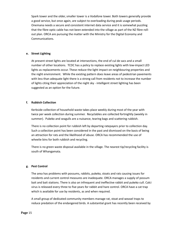Spark tower and the older, smaller tower is a Vodafone tower. Both towers generally provide a good service, but once again, are subject to overloading during peak usage periods. Onemana needs a secure and consistent internet data service and it is somewhat puzzling that the fibre optic cable has not been extended into the village as part of the NZ fibre rollout plan. ORCA are pursuing the matter with the Ministry for the Digital Economy and Communications.

#### **e. Street Lighting**

At present street lights are located at intersections, the end of cul de sacs and a small number of other locations. TCDC has a policy to replace existing lights with low-impact LED lights as replacements occur. These reduce the light impact on neighbouring properties and the night environment. While the existing pattern does leave areas of pedestrian pavements with less than adequate light there is a strong call from residents not to increase the number of lights citing their appreciation of the night sky - intelligent street lighting has been suggested as an option for the future.

#### **f. Rubbish Collection**

Kerbside collection of household waste takes place weekly during most of the year with twice per week collection during summer. Recyclables are collected fortnightly (weekly in summer). Pukeko and seagulls are a nuisance, tearing bags and scattering rubbish.

There is no collection point for rubbish left by departing ratepayers prior to collection day. Such a collection point has been considered in the past and dismissed on the basis of being an attraction for rats and the likelihood of abuse. ORCA has recommended the use of wheelie bins for both rubbish and recycling.

There is no green waste disposal available in the village. The nearest tip/recycling facility is south of Whangamata.

#### **g. Pest Control**

The area has problems with possums, rabbits, pukeko, stoats and rats causing issues for residents and current control measures are inadequate. ORCA manages a supply of possum bait and bait stations. There is also an infrequent and ineffective rabbit and pukeko cull. Calci virus is released every three to five years for rabbit and hare control. ORCA have a cat trap which is available for use by residents, as and when required.

A small group of dedicated community members manage rat, stoat and weasel traps to reduce predation of the endangered birds. A substantial grant has recently been received by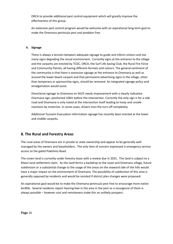ORCA to provide additional pest control equipment which will greatly improve the effectiveness of this group.

An extensive pest control program would be welcome with an aspirational long term goal to make the Onemana peninsula pest and predator free.

#### **h. Signage**

There is always a tension between adequate signage to guide and inform visitors and too many signs degrading the visual environment. Currently signs at the entrance to the village and the carparks are erected by TCDC, ORCA, the Surf Life Saving Club, the Rural Fire Force and Community Patrols, all having different formats and colours. The general sentiment of the community is that there is excessive signage at the entrance to Onemana as well as around the lower beach carpark and that permanent advertising signs in the village, other than temporary or sponsorship signs, should be removed. An integrated signage policy and amalgamation would assist.

Directional signage to Onemana on SH25 needs improvement with a clearly indicative Onemana sign, positioned 100m before the intersection. Currently the only sign is for a side road and Onemana is only noted at the intersection itself leading to hasty and unsafe reactions by motorists. In some cases, drivers miss the turn-off completely.

Additional Tsunami Evacuation Information signage has recently been erected at the lower and middle carparks.

## **8. The Rural and Forestry Areas**

The rural areas of Onemana are in private or state ownership and appear to be generally well managed by the owners and leaseholders. The only item of concern expressed is emergency service access to the gated Pokohino Road.

The crown land is currently under forestry lease with a review due in 2031. This land is subject to a Maori land settlement claim. As this land forms a backdrop to the coast and Onemana village, future subdivision or a substantial change to the usage of the areas on the seaward side of the hills would have a major impact on the environment of Onemana. The possibility of subdivision of this area is generally opposed by residents and would be resisted if district plan changes were proposed.

An aspirational goal would be to make the Onemana peninsula pest free to encourage more native birdlife. Several residents report hearing kiwi in the area in the past so a resurgence of them is always possible – however cost and remoteness make this an unlikely prospect.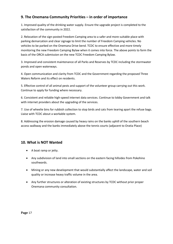# **9. The Onemana Community Priorities – in order of importance**

1. Improved quality of the drinking water supply. Ensure the upgrade project is completed to the satisfaction of the community in 2022.

2. Relocation of the sign-posted Freedom Camping area to a safer and more suitable place with parking demarcation and clear signage to limit the number of Freedom Camping vehicles. No vehicles to be parked on the Onemana Drive bend. TCDC to ensure effective and more timely monitoring the new Freedom Camping Bylaw when it comes into force. The above points to form the basis of the ORCA submission on the new TCDC Freedom Camping Bylaw.

3. Improved and consistent maintenance of all Parks and Reserves by TCDC including the stormwater ponds and open waterways.

4. Open communication and clarity from TCDC and the Government regarding the proposed Three Waters Reform and its effect on residents.

5. Effective control of all animal pests and support of the volunteer group carrying out this work. Continue to apply for funding where necessary.

6. Consistent and reliable high-speed internet data services. Continue to lobby Government and talk with internet providers about the upgrading of the services.

7. Use of wheelie bins for rubbish collection to stop birds and cats from tearing apart the refuse bags. Liaise with TCDC about a workable system.

8. Addressing the erosion damage caused by heavy rains on the banks uphill of the southern beach access walkway and the banks immediately above the tennis courts (adjacent to Oratia Place)

# **10. What is NOT Wanted**

- A boat ramp or jetty.
- Any subdivision of land into small sections on the eastern facing hillsides from Pokohino southwards.
- Mining or any new development that would substantially affect the landscape, water and soil quality or increase heavy traffic volume in the area.
- Any further structures or alteration of existing structures by TCDC without prior proper Onemana community consultation.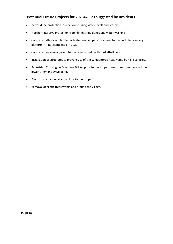# **11. Potential Future Projects for 2023/4 – as suggested by Residents**

- Better dune protection in reaction to rising water levels and storms.
- Northern Reserve Protection from diminishing dunes and water washing
- Concrete path (or similar) to facilitate disabled persons access to the Surf Club viewing platform – if not completed in 2022.
- Concrete play area adjacent to the tennis courts with basketball hoop.
- Installation of structures to prevent use of the Whitipirorua Road verge by 4 x 4 vehicles.
- Pedestrian Crossing on Onemana Drive opposite the shops. Lower speed limit around the lower Onemana Drive bend.
- Electric car charging station close to the shops.
- Removal of exotic trees within and around the village.